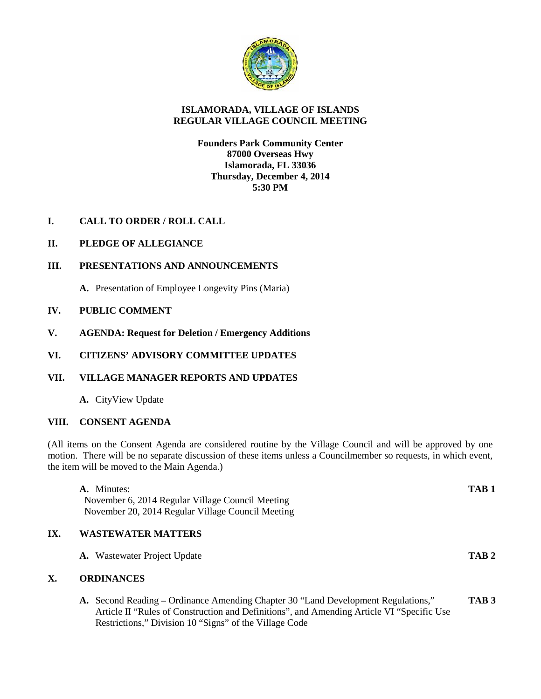

# **ISLAMORADA, VILLAGE OF ISLANDS REGULAR VILLAGE COUNCIL MEETING**

## **Founders Park Community Center 87000 Overseas Hwy Islamorada, FL 33036 Thursday, December 4, 2014 5:30 PM**

# **I. CALL TO ORDER / ROLL CALL**

# **II. PLEDGE OF ALLEGIANCE**

## **III. PRESENTATIONS AND ANNOUNCEMENTS**

**A.** Presentation of Employee Longevity Pins (Maria)

## **IV. PUBLIC COMMENT**

**V. AGENDA: Request for Deletion / Emergency Additions**

# **VI. CITIZENS' ADVISORY COMMITTEE UPDATES**

## **VII. VILLAGE MANAGER REPORTS AND UPDATES**

**A.** CityView Update

#### **VIII. CONSENT AGENDA**

(All items on the Consent Agenda are considered routine by the Village Council and will be approved by one motion. There will be no separate discussion of these items unless a Councilmember so requests, in which event, the item will be moved to the Main Agenda.)

|     | A. Minutes:                                                                                                                                                                                                                              | TAB <sub>1</sub> |  |
|-----|------------------------------------------------------------------------------------------------------------------------------------------------------------------------------------------------------------------------------------------|------------------|--|
|     | November 6, 2014 Regular Village Council Meeting                                                                                                                                                                                         |                  |  |
|     | November 20, 2014 Regular Village Council Meeting                                                                                                                                                                                        |                  |  |
| IX. | <b>WASTEWATER MATTERS</b>                                                                                                                                                                                                                |                  |  |
|     | <b>A.</b> Wastewater Project Update                                                                                                                                                                                                      | TAB <sub>2</sub> |  |
| X.  | <b>ORDINANCES</b>                                                                                                                                                                                                                        |                  |  |
|     | A. Second Reading – Ordinance Amending Chapter 30 "Land Development Regulations,"<br>Article II "Rules of Construction and Definitions", and Amending Article VI "Specific Use<br>Restrictions," Division 10 "Signs" of the Village Code | TAB <sub>3</sub> |  |